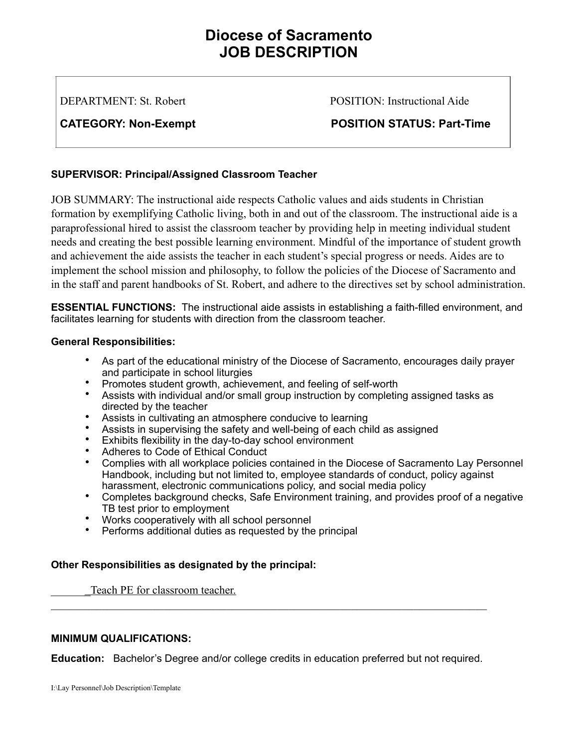# **Diocese of Sacramento JOB DESCRIPTION**

DEPARTMENT: St. Robert POSITION: Instructional Aide

CATEGORY: Non-Exempt **POSITION STATUS: Part-Time** 

## **SUPERVISOR: Principal/Assigned Classroom Teacher**

JOB SUMMARY: The instructional aide respects Catholic values and aids students in Christian formation by exemplifying Catholic living, both in and out of the classroom. The instructional aide is a paraprofessional hired to assist the classroom teacher by providing help in meeting individual student needs and creating the best possible learning environment. Mindful of the importance of student growth and achievement the aide assists the teacher in each student's special progress or needs. Aides are to implement the school mission and philosophy, to follow the policies of the Diocese of Sacramento and in the staff and parent handbooks of St. Robert, and adhere to the directives set by school administration.

**ESSENTIAL FUNCTIONS:** The instructional aide assists in establishing a faith-filled environment, and facilitates learning for students with direction from the classroom teacher.

### **General Responsibilities:**

- As part of the educational ministry of the Diocese of Sacramento, encourages daily prayer and participate in school liturgies
- Promotes student growth, achievement, and feeling of self-worth
- Assists with individual and/or small group instruction by completing assigned tasks as directed by the teacher
- Assists in cultivating an atmosphere conducive to learning
- Assists in supervising the safety and well-being of each child as assigned
- Exhibits flexibility in the day-to-day school environment
- Adheres to Code of Ethical Conduct
- Complies with all workplace policies contained in the Diocese of Sacramento Lay Personnel Handbook, including but not limited to, employee standards of conduct, policy against harassment, electronic communications policy, and social media policy
- Completes background checks, Safe Environment training, and provides proof of a negative TB test prior to employment
- Works cooperatively with all school personnel
- Performs additional duties as requested by the principal

#### **Other Responsibilities as designated by the principal:**

Teach PE for classroom teacher.

#### **MINIMUM QUALIFICATIONS:**

**Education:** Bachelor's Degree and/or college credits in education preferred but not required.

 $\mathcal{L}_\mathcal{L} = \{ \mathcal{L}_\mathcal{L} = \{ \mathcal{L}_\mathcal{L} = \{ \mathcal{L}_\mathcal{L} = \{ \mathcal{L}_\mathcal{L} = \{ \mathcal{L}_\mathcal{L} = \{ \mathcal{L}_\mathcal{L} = \{ \mathcal{L}_\mathcal{L} = \{ \mathcal{L}_\mathcal{L} = \{ \mathcal{L}_\mathcal{L} = \{ \mathcal{L}_\mathcal{L} = \{ \mathcal{L}_\mathcal{L} = \{ \mathcal{L}_\mathcal{L} = \{ \mathcal{L}_\mathcal{L} = \{ \mathcal{L}_\mathcal{$